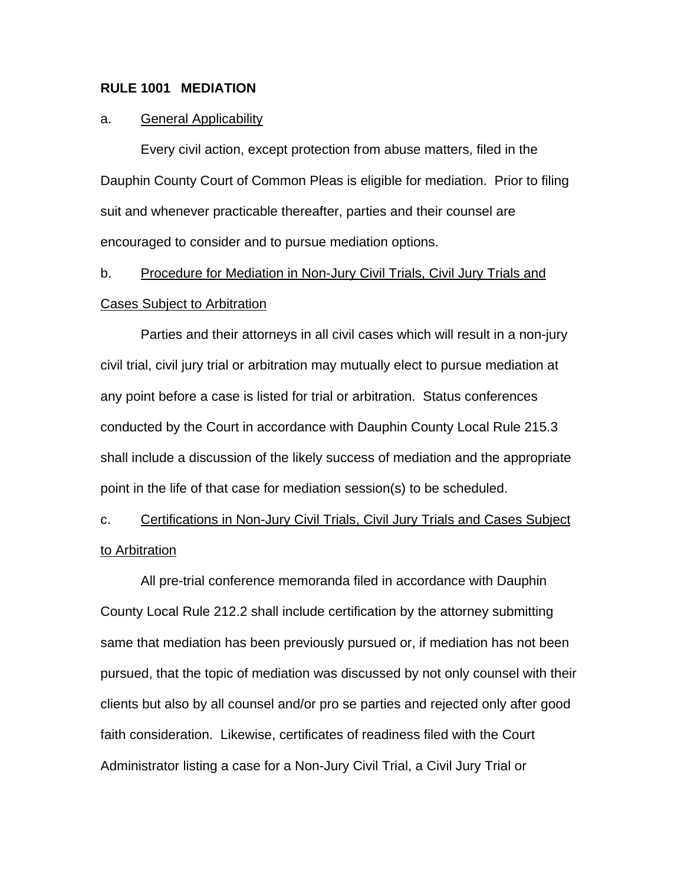## **RULE 1001 MEDIATION**

### a. General Applicability

Every civil action, except protection from abuse matters, filed in the Dauphin County Court of Common Pleas is eligible for mediation. Prior to filing suit and whenever practicable thereafter, parties and their counsel are encouraged to consider and to pursue mediation options.

# b. Procedure for Mediation in Non-Jury Civil Trials, Civil Jury Trials and Cases Subject to Arbitration

Parties and their attorneys in all civil cases which will result in a non-jury civil trial, civil jury trial or arbitration may mutually elect to pursue mediation at any point before a case is listed for trial or arbitration. Status conferences conducted by the Court in accordance with Dauphin County Local Rule 215.3 shall include a discussion of the likely success of mediation and the appropriate point in the life of that case for mediation session(s) to be scheduled.

c. Certifications in Non-Jury Civil Trials, Civil Jury Trials and Cases Subject to Arbitration

All pre-trial conference memoranda filed in accordance with Dauphin County Local Rule 212.2 shall include certification by the attorney submitting same that mediation has been previously pursued or, if mediation has not been pursued, that the topic of mediation was discussed by not only counsel with their clients but also by all counsel and/or pro se parties and rejected only after good faith consideration. Likewise, certificates of readiness filed with the Court Administrator listing a case for a Non-Jury Civil Trial, a Civil Jury Trial or